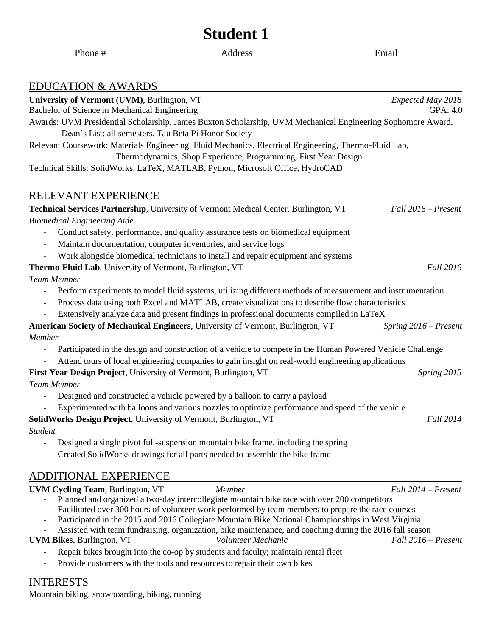# **Student 1**

| Bachelor of Science in Mechanical Engineering<br>GPA: 4.0<br>Awards: UVM Presidential Scholarship, James Buxton Scholarship, UVM Mechanical Engineering Sophomore Award,<br>Dean's List: all semesters, Tau Beta Pi Honor Society<br>Relevant Coursework: Materials Engineering, Fluid Mechanics, Electrical Engineering, Thermo-Fluid Lab,<br>Thermodynamics, Shop Experience, Programming, First Year Design<br>Technical Skills: SolidWorks, LaTeX, MATLAB, Python, Microsoft Office, HydroCAD<br>Fall 2016 – Present<br>Conduct safety, performance, and quality assurance tests on biomedical equipment<br>Maintain documentation, computer inventories, and service logs<br>Work alongside biomedical technicians to install and repair equipment and systems<br>Thermo-Fluid Lab, University of Vermont, Burlington, VT<br>Fall 2016<br><b>Team Member</b><br>Perform experiments to model fluid systems, utilizing different methods of measurement and instrumentation<br>Process data using both Excel and MATLAB, create visualizations to describe flow characteristics<br>Extensively analyze data and present findings in professional documents compiled in LaTeX<br>American Society of Mechanical Engineers, University of Vermont, Burlington, VT<br>Spring $2016$ – Present<br>Member<br>Participated in the design and construction of a vehicle to compete in the Human Powered Vehicle Challenge<br>Attend tours of local engineering companies to gain insight on real-world engineering applications<br>First Year Design Project, University of Vermont, Burlington, VT<br>Spring 2015<br><b>Team Member</b><br>Designed and constructed a vehicle powered by a balloon to carry a payload<br>Experimented with balloons and various nozzles to optimize performance and speed of the vehicle<br>SolidWorks Design Project, University of Vermont, Burlington, VT<br>Fall 2014<br><b>Student</b><br>Designed a single pivot full-suspension mountain bike frame, including the spring<br>Created SolidWorks drawings for all parts needed to assemble the bike frame | <b>EDUCATION &amp; AWARDS</b>                                                        |                     |
|-----------------------------------------------------------------------------------------------------------------------------------------------------------------------------------------------------------------------------------------------------------------------------------------------------------------------------------------------------------------------------------------------------------------------------------------------------------------------------------------------------------------------------------------------------------------------------------------------------------------------------------------------------------------------------------------------------------------------------------------------------------------------------------------------------------------------------------------------------------------------------------------------------------------------------------------------------------------------------------------------------------------------------------------------------------------------------------------------------------------------------------------------------------------------------------------------------------------------------------------------------------------------------------------------------------------------------------------------------------------------------------------------------------------------------------------------------------------------------------------------------------------------------------------------------------------------------------------------------------------------------------------------------------------------------------------------------------------------------------------------------------------------------------------------------------------------------------------------------------------------------------------------------------------------------------------------------------------------------------------------------------------------------------------------------------------------------------------------|--------------------------------------------------------------------------------------|---------------------|
|                                                                                                                                                                                                                                                                                                                                                                                                                                                                                                                                                                                                                                                                                                                                                                                                                                                                                                                                                                                                                                                                                                                                                                                                                                                                                                                                                                                                                                                                                                                                                                                                                                                                                                                                                                                                                                                                                                                                                                                                                                                                                               | University of Vermont (UVM), Burlington, VT                                          | Expected May 2018   |
|                                                                                                                                                                                                                                                                                                                                                                                                                                                                                                                                                                                                                                                                                                                                                                                                                                                                                                                                                                                                                                                                                                                                                                                                                                                                                                                                                                                                                                                                                                                                                                                                                                                                                                                                                                                                                                                                                                                                                                                                                                                                                               |                                                                                      |                     |
|                                                                                                                                                                                                                                                                                                                                                                                                                                                                                                                                                                                                                                                                                                                                                                                                                                                                                                                                                                                                                                                                                                                                                                                                                                                                                                                                                                                                                                                                                                                                                                                                                                                                                                                                                                                                                                                                                                                                                                                                                                                                                               |                                                                                      |                     |
|                                                                                                                                                                                                                                                                                                                                                                                                                                                                                                                                                                                                                                                                                                                                                                                                                                                                                                                                                                                                                                                                                                                                                                                                                                                                                                                                                                                                                                                                                                                                                                                                                                                                                                                                                                                                                                                                                                                                                                                                                                                                                               |                                                                                      |                     |
|                                                                                                                                                                                                                                                                                                                                                                                                                                                                                                                                                                                                                                                                                                                                                                                                                                                                                                                                                                                                                                                                                                                                                                                                                                                                                                                                                                                                                                                                                                                                                                                                                                                                                                                                                                                                                                                                                                                                                                                                                                                                                               |                                                                                      |                     |
|                                                                                                                                                                                                                                                                                                                                                                                                                                                                                                                                                                                                                                                                                                                                                                                                                                                                                                                                                                                                                                                                                                                                                                                                                                                                                                                                                                                                                                                                                                                                                                                                                                                                                                                                                                                                                                                                                                                                                                                                                                                                                               |                                                                                      |                     |
|                                                                                                                                                                                                                                                                                                                                                                                                                                                                                                                                                                                                                                                                                                                                                                                                                                                                                                                                                                                                                                                                                                                                                                                                                                                                                                                                                                                                                                                                                                                                                                                                                                                                                                                                                                                                                                                                                                                                                                                                                                                                                               |                                                                                      |                     |
|                                                                                                                                                                                                                                                                                                                                                                                                                                                                                                                                                                                                                                                                                                                                                                                                                                                                                                                                                                                                                                                                                                                                                                                                                                                                                                                                                                                                                                                                                                                                                                                                                                                                                                                                                                                                                                                                                                                                                                                                                                                                                               | RELEVANT EXPERIENCE                                                                  |                     |
|                                                                                                                                                                                                                                                                                                                                                                                                                                                                                                                                                                                                                                                                                                                                                                                                                                                                                                                                                                                                                                                                                                                                                                                                                                                                                                                                                                                                                                                                                                                                                                                                                                                                                                                                                                                                                                                                                                                                                                                                                                                                                               | Technical Services Partnership, University of Vermont Medical Center, Burlington, VT |                     |
|                                                                                                                                                                                                                                                                                                                                                                                                                                                                                                                                                                                                                                                                                                                                                                                                                                                                                                                                                                                                                                                                                                                                                                                                                                                                                                                                                                                                                                                                                                                                                                                                                                                                                                                                                                                                                                                                                                                                                                                                                                                                                               | <b>Biomedical Engineering Aide</b>                                                   |                     |
|                                                                                                                                                                                                                                                                                                                                                                                                                                                                                                                                                                                                                                                                                                                                                                                                                                                                                                                                                                                                                                                                                                                                                                                                                                                                                                                                                                                                                                                                                                                                                                                                                                                                                                                                                                                                                                                                                                                                                                                                                                                                                               |                                                                                      |                     |
|                                                                                                                                                                                                                                                                                                                                                                                                                                                                                                                                                                                                                                                                                                                                                                                                                                                                                                                                                                                                                                                                                                                                                                                                                                                                                                                                                                                                                                                                                                                                                                                                                                                                                                                                                                                                                                                                                                                                                                                                                                                                                               |                                                                                      |                     |
|                                                                                                                                                                                                                                                                                                                                                                                                                                                                                                                                                                                                                                                                                                                                                                                                                                                                                                                                                                                                                                                                                                                                                                                                                                                                                                                                                                                                                                                                                                                                                                                                                                                                                                                                                                                                                                                                                                                                                                                                                                                                                               |                                                                                      |                     |
|                                                                                                                                                                                                                                                                                                                                                                                                                                                                                                                                                                                                                                                                                                                                                                                                                                                                                                                                                                                                                                                                                                                                                                                                                                                                                                                                                                                                                                                                                                                                                                                                                                                                                                                                                                                                                                                                                                                                                                                                                                                                                               |                                                                                      |                     |
|                                                                                                                                                                                                                                                                                                                                                                                                                                                                                                                                                                                                                                                                                                                                                                                                                                                                                                                                                                                                                                                                                                                                                                                                                                                                                                                                                                                                                                                                                                                                                                                                                                                                                                                                                                                                                                                                                                                                                                                                                                                                                               |                                                                                      |                     |
|                                                                                                                                                                                                                                                                                                                                                                                                                                                                                                                                                                                                                                                                                                                                                                                                                                                                                                                                                                                                                                                                                                                                                                                                                                                                                                                                                                                                                                                                                                                                                                                                                                                                                                                                                                                                                                                                                                                                                                                                                                                                                               |                                                                                      |                     |
|                                                                                                                                                                                                                                                                                                                                                                                                                                                                                                                                                                                                                                                                                                                                                                                                                                                                                                                                                                                                                                                                                                                                                                                                                                                                                                                                                                                                                                                                                                                                                                                                                                                                                                                                                                                                                                                                                                                                                                                                                                                                                               |                                                                                      |                     |
|                                                                                                                                                                                                                                                                                                                                                                                                                                                                                                                                                                                                                                                                                                                                                                                                                                                                                                                                                                                                                                                                                                                                                                                                                                                                                                                                                                                                                                                                                                                                                                                                                                                                                                                                                                                                                                                                                                                                                                                                                                                                                               |                                                                                      |                     |
|                                                                                                                                                                                                                                                                                                                                                                                                                                                                                                                                                                                                                                                                                                                                                                                                                                                                                                                                                                                                                                                                                                                                                                                                                                                                                                                                                                                                                                                                                                                                                                                                                                                                                                                                                                                                                                                                                                                                                                                                                                                                                               |                                                                                      |                     |
|                                                                                                                                                                                                                                                                                                                                                                                                                                                                                                                                                                                                                                                                                                                                                                                                                                                                                                                                                                                                                                                                                                                                                                                                                                                                                                                                                                                                                                                                                                                                                                                                                                                                                                                                                                                                                                                                                                                                                                                                                                                                                               |                                                                                      |                     |
|                                                                                                                                                                                                                                                                                                                                                                                                                                                                                                                                                                                                                                                                                                                                                                                                                                                                                                                                                                                                                                                                                                                                                                                                                                                                                                                                                                                                                                                                                                                                                                                                                                                                                                                                                                                                                                                                                                                                                                                                                                                                                               |                                                                                      |                     |
|                                                                                                                                                                                                                                                                                                                                                                                                                                                                                                                                                                                                                                                                                                                                                                                                                                                                                                                                                                                                                                                                                                                                                                                                                                                                                                                                                                                                                                                                                                                                                                                                                                                                                                                                                                                                                                                                                                                                                                                                                                                                                               |                                                                                      |                     |
|                                                                                                                                                                                                                                                                                                                                                                                                                                                                                                                                                                                                                                                                                                                                                                                                                                                                                                                                                                                                                                                                                                                                                                                                                                                                                                                                                                                                                                                                                                                                                                                                                                                                                                                                                                                                                                                                                                                                                                                                                                                                                               |                                                                                      |                     |
|                                                                                                                                                                                                                                                                                                                                                                                                                                                                                                                                                                                                                                                                                                                                                                                                                                                                                                                                                                                                                                                                                                                                                                                                                                                                                                                                                                                                                                                                                                                                                                                                                                                                                                                                                                                                                                                                                                                                                                                                                                                                                               |                                                                                      |                     |
|                                                                                                                                                                                                                                                                                                                                                                                                                                                                                                                                                                                                                                                                                                                                                                                                                                                                                                                                                                                                                                                                                                                                                                                                                                                                                                                                                                                                                                                                                                                                                                                                                                                                                                                                                                                                                                                                                                                                                                                                                                                                                               |                                                                                      |                     |
|                                                                                                                                                                                                                                                                                                                                                                                                                                                                                                                                                                                                                                                                                                                                                                                                                                                                                                                                                                                                                                                                                                                                                                                                                                                                                                                                                                                                                                                                                                                                                                                                                                                                                                                                                                                                                                                                                                                                                                                                                                                                                               |                                                                                      |                     |
|                                                                                                                                                                                                                                                                                                                                                                                                                                                                                                                                                                                                                                                                                                                                                                                                                                                                                                                                                                                                                                                                                                                                                                                                                                                                                                                                                                                                                                                                                                                                                                                                                                                                                                                                                                                                                                                                                                                                                                                                                                                                                               |                                                                                      |                     |
|                                                                                                                                                                                                                                                                                                                                                                                                                                                                                                                                                                                                                                                                                                                                                                                                                                                                                                                                                                                                                                                                                                                                                                                                                                                                                                                                                                                                                                                                                                                                                                                                                                                                                                                                                                                                                                                                                                                                                                                                                                                                                               |                                                                                      |                     |
|                                                                                                                                                                                                                                                                                                                                                                                                                                                                                                                                                                                                                                                                                                                                                                                                                                                                                                                                                                                                                                                                                                                                                                                                                                                                                                                                                                                                                                                                                                                                                                                                                                                                                                                                                                                                                                                                                                                                                                                                                                                                                               |                                                                                      |                     |
|                                                                                                                                                                                                                                                                                                                                                                                                                                                                                                                                                                                                                                                                                                                                                                                                                                                                                                                                                                                                                                                                                                                                                                                                                                                                                                                                                                                                                                                                                                                                                                                                                                                                                                                                                                                                                                                                                                                                                                                                                                                                                               |                                                                                      |                     |
|                                                                                                                                                                                                                                                                                                                                                                                                                                                                                                                                                                                                                                                                                                                                                                                                                                                                                                                                                                                                                                                                                                                                                                                                                                                                                                                                                                                                                                                                                                                                                                                                                                                                                                                                                                                                                                                                                                                                                                                                                                                                                               | <b>ADDITIONAL EXPERIENCE</b>                                                         |                     |
| Member                                                                                                                                                                                                                                                                                                                                                                                                                                                                                                                                                                                                                                                                                                                                                                                                                                                                                                                                                                                                                                                                                                                                                                                                                                                                                                                                                                                                                                                                                                                                                                                                                                                                                                                                                                                                                                                                                                                                                                                                                                                                                        | <b>UVM Cycling Team, Burlington, VT</b>                                              | Fall 2014 – Present |
| Planned and organized a two-day intercollegiate mountain bike race with over 200 competitors                                                                                                                                                                                                                                                                                                                                                                                                                                                                                                                                                                                                                                                                                                                                                                                                                                                                                                                                                                                                                                                                                                                                                                                                                                                                                                                                                                                                                                                                                                                                                                                                                                                                                                                                                                                                                                                                                                                                                                                                  |                                                                                      |                     |
| Facilitated over 300 hours of volunteer work performed by team members to prepare the race courses<br>Participated in the 2015 and 2016 Collegiate Mountain Bike National Championships in West Virginia                                                                                                                                                                                                                                                                                                                                                                                                                                                                                                                                                                                                                                                                                                                                                                                                                                                                                                                                                                                                                                                                                                                                                                                                                                                                                                                                                                                                                                                                                                                                                                                                                                                                                                                                                                                                                                                                                      |                                                                                      |                     |

**UVM Bikes**, Burlington, VT *Volunteer Mechanic Fall 2016 – Present*

Assisted with team fundraising, organization, bike maintenance, and coaching during the 2016 fall season

- Repair bikes brought into the co-op by students and faculty; maintain rental fleet
- Provide customers with the tools and resources to repair their own bikes

# INTERESTS

Phone #

Address [Email](mailto:kwarner@uvm.edu)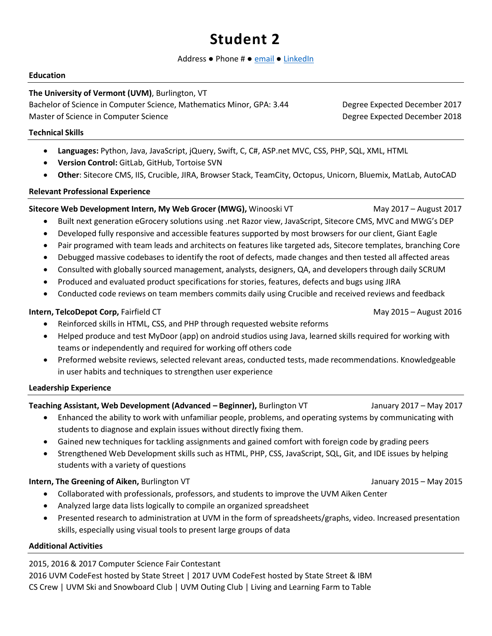# **Student 2**

#### Address ● Phone # ● [email](mailto:calexander1@uvm.edu) ● [LinkedIn](http://www.uvm.edu/cems)

#### **Education**

### **The University of Vermont (UVM)**, Burlington, VT

Bachelor of Science in Computer Science, Mathematics Minor, GPA: 3.44 Degree Expected December 2017 Master of Science in Computer Science **Degree Expected December 2018** 

### **Technical Skills**

- **Languages:** Python, Java, JavaScript, jQuery, Swift, C, C#, ASP.net MVC, CSS, PHP, SQL, XML, HTML
- **Version Control:** GitLab, GitHub, Tortoise SVN
- **Other**: Sitecore CMS, IIS, Crucible, JIRA, Browser Stack, TeamCity, Octopus, Unicorn, Bluemix, MatLab, AutoCAD

#### **Relevant Professional Experience**

## **Sitecore Web Development Intern, My Web Grocer (MWG),** Winooski VT May 2017 – August 2017

- Built next generation eGrocery solutions using .net Razor view, JavaScript, Sitecore CMS, MVC and MWG's DEP
- Developed fully responsive and accessible features supported by most browsers for our client, Giant Eagle
- Pair programed with team leads and architects on features like targeted ads, Sitecore templates, branching Core
- Debugged massive codebases to identify the root of defects, made changes and then tested all affected areas
- Consulted with globally sourced management, analysts, designers, QA, and developers through daily SCRUM
- Produced and evaluated product specifications for stories, features, defects and bugs using JIRA
- Conducted code reviews on team members commits daily using Crucible and received reviews and feedback

## **Intern, TelcoDepot Corp,** Fairfield CT **May 2016** 10:00 May 2015 – August 2016

- Reinforced skills in HTML, CSS, and PHP through requested website reforms
- Helped produce and test MyDoor (app) on android studios using Java, learned skills required for working with teams or independently and required for working off others code
- Preformed website reviews, selected relevant areas, conducted tests, made recommendations. Knowledgeable in user habits and techniques to strengthen user experience

#### **Leadership Experience**

**Teaching Assistant, Web Development (Advanced – Beginner),** Burlington VT January 2017 – May 2017

- Enhanced the ability to work with unfamiliar people, problems, and operating systems by communicating with students to diagnose and explain issues without directly fixing them.
- Gained new techniques for tackling assignments and gained comfort with foreign code by grading peers
- Strengthened Web Development skills such as HTML, PHP, CSS, JavaScript, SQL, Git, and IDE issues by helping students with a variety of questions

## **Intern, The Greening of Aiken,** Burlington VT **Statement Construction Construction** 3015 – May 2015

- Collaborated with professionals, professors, and students to improve the UVM Aiken Center
- Analyzed large data lists logically to compile an organized spreadsheet
- Presented research to administration at UVM in the form of spreadsheets/graphs, video. Increased presentation skills, especially using visual tools to present large groups of data

#### **Additional Activities**

2015, 2016 & 2017 Computer Science Fair Contestant

2016 UVM CodeFest hosted by State Street | 2017 UVM CodeFest hosted by State Street & IBM CS Crew | UVM Ski and Snowboard Club | UVM Outing Club | Living and Learning Farm to Table